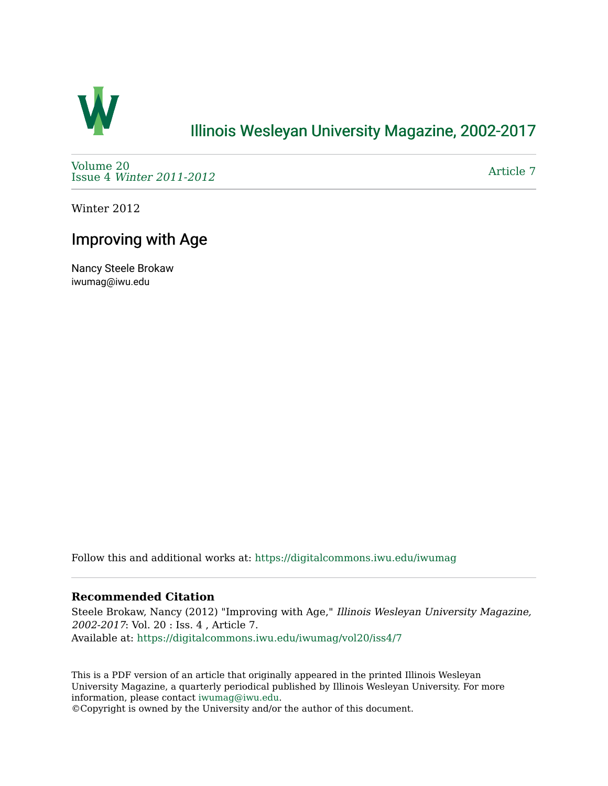

## [Illinois Wesleyan University Magazine, 2002-2017](https://digitalcommons.iwu.edu/iwumag)

[Volume 20](https://digitalcommons.iwu.edu/iwumag/vol20)  Issue 4 [Winter 2011-2012](https://digitalcommons.iwu.edu/iwumag/vol20/iss4)

[Article 7](https://digitalcommons.iwu.edu/iwumag/vol20/iss4/7) 

Winter 2012

## Improving with Age

Nancy Steele Brokaw iwumag@iwu.edu

Follow this and additional works at: [https://digitalcommons.iwu.edu/iwumag](https://digitalcommons.iwu.edu/iwumag?utm_source=digitalcommons.iwu.edu%2Fiwumag%2Fvol20%2Fiss4%2F7&utm_medium=PDF&utm_campaign=PDFCoverPages) 

#### **Recommended Citation**

Steele Brokaw, Nancy (2012) "Improving with Age," Illinois Wesleyan University Magazine, 2002-2017: Vol. 20 : Iss. 4 , Article 7. Available at: [https://digitalcommons.iwu.edu/iwumag/vol20/iss4/7](https://digitalcommons.iwu.edu/iwumag/vol20/iss4/7?utm_source=digitalcommons.iwu.edu%2Fiwumag%2Fvol20%2Fiss4%2F7&utm_medium=PDF&utm_campaign=PDFCoverPages)

This is a PDF version of an article that originally appeared in the printed Illinois Wesleyan University Magazine, a quarterly periodical published by Illinois Wesleyan University. For more information, please contact [iwumag@iwu.edu](mailto:iwumag@iwu.edu).

©Copyright is owned by the University and/or the author of this document.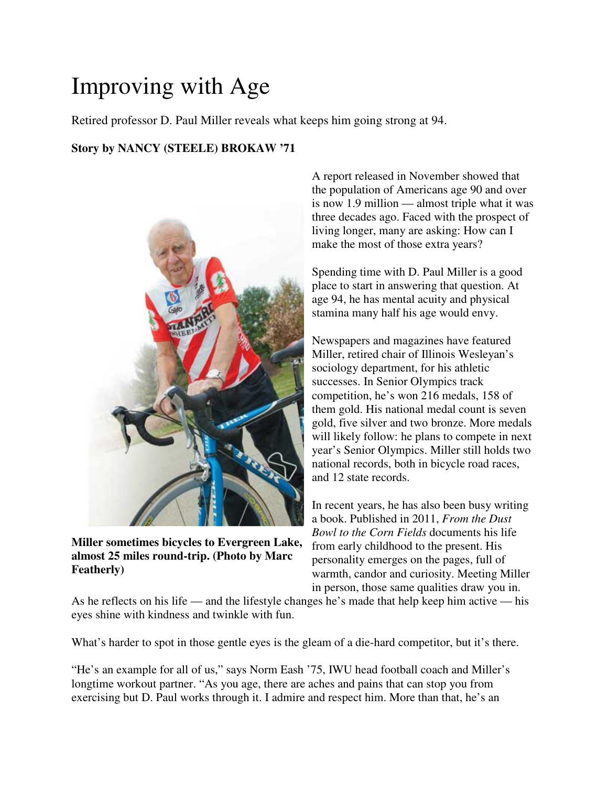# Improving with Age

Retired professor D. Paul Miller reveals what keeps him going strong at 94.

### **Story by NANCY (STEELE) BROKAW '71**



**Miller sometimes bicycles to Evergreen Lake, almost 25 miles round-trip. (Photo by Marc Featherly)**

A report released in November showed that the population of Americans age 90 and over is now 1.9 million — almost triple what it was three decades ago. Faced with the prospect of living longer, many are asking: How can I make the most of those extra years?

Spending time with D. Paul Miller is a good place to start in answering that question. At age 94, he has mental acuity and physical stamina many half his age would envy.

Newspapers and magazines have featured Miller, retired chair of Illinois Wesleyan's sociology department, for his athletic successes. In Senior Olympics track competition, he's won 216 medals, 158 of them gold. His national medal count is seven gold, five silver and two bronze. More medals will likely follow: he plans to compete in next year's Senior Olympics. Miller still holds two national records, both in bicycle road races, and 12 state records.

In recent years, he has also been busy writing a book. Published in 2011, *From the Dust Bowl to the Corn Fields* documents his life from early childhood to the present. His personality emerges on the pages, full of warmth, candor and curiosity. Meeting Miller in person, those same qualities draw you in.

As he reflects on his life — and the lifestyle changes he's made that help keep him active — his eyes shine with kindness and twinkle with fun.

What's harder to spot in those gentle eyes is the gleam of a die-hard competitor, but it's there.

"He's an example for all of us," says Norm Eash '75, IWU head football coach and Miller's longtime workout partner. "As you age, there are aches and pains that can stop you from exercising but D. Paul works through it. I admire and respect him. More than that, he's an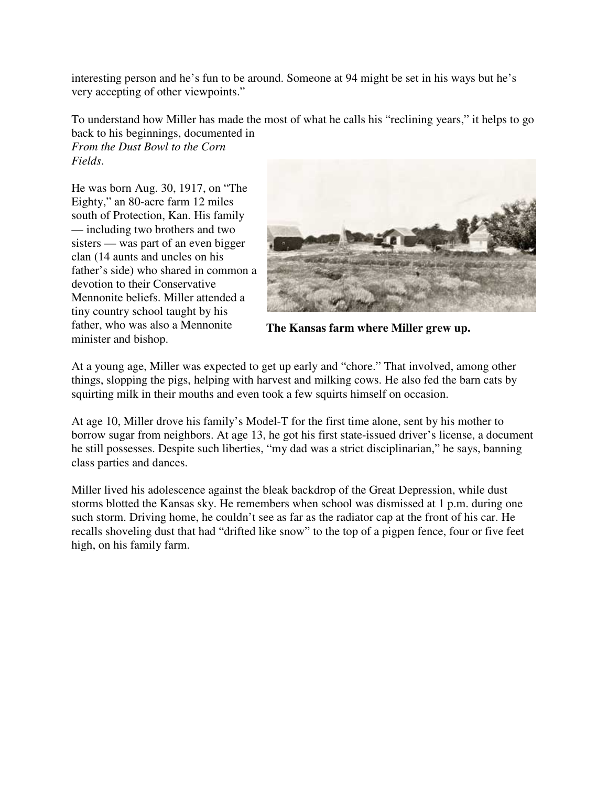interesting person and he's fun to be around. Someone at 94 might be set in his ways but he's very accepting of other viewpoints."

To understand how Miller has made the most of what he calls his "reclining years," it helps to go back to his beginnings, documented in

*From the Dust Bowl to the Corn Fields*.

He was born Aug. 30, 1917, on "The Eighty," an 80-acre farm 12 miles south of Protection, Kan. His family — including two brothers and two sisters — was part of an even bigger clan (14 aunts and uncles on his father's side) who shared in common a devotion to their Conservative Mennonite beliefs. Miller attended a tiny country school taught by his father, who was also a Mennonite minister and bishop.



**The Kansas farm where Miller grew up.**

At a young age, Miller was expected to get up early and "chore." That involved, among other things, slopping the pigs, helping with harvest and milking cows. He also fed the barn cats by squirting milk in their mouths and even took a few squirts himself on occasion.

At age 10, Miller drove his family's Model-T for the first time alone, sent by his mother to borrow sugar from neighbors. At age 13, he got his first state-issued driver's license, a document he still possesses. Despite such liberties, "my dad was a strict disciplinarian," he says, banning class parties and dances.

Miller lived his adolescence against the bleak backdrop of the Great Depression, while dust storms blotted the Kansas sky. He remembers when school was dismissed at 1 p.m. during one such storm. Driving home, he couldn't see as far as the radiator cap at the front of his car. He recalls shoveling dust that had "drifted like snow" to the top of a pigpen fence, four or five feet high, on his family farm.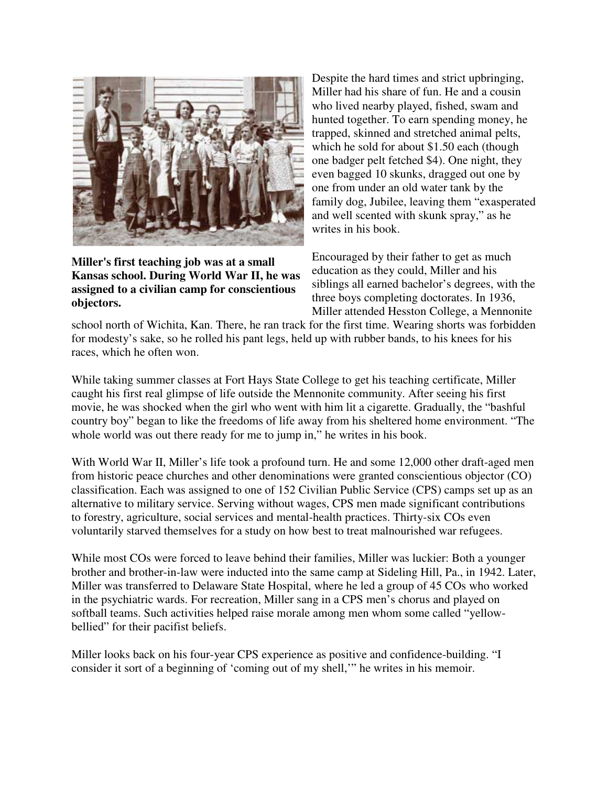

**Miller's first teaching job was at a small Kansas school. During World War II, he was assigned to a civilian camp for conscientious objectors.**

Despite the hard times and strict upbringing, Miller had his share of fun. He and a cousin who lived nearby played, fished, swam and hunted together. To earn spending money, he trapped, skinned and stretched animal pelts, which he sold for about \$1.50 each (though one badger pelt fetched \$4). One night, they even bagged 10 skunks, dragged out one by one from under an old water tank by the family dog, Jubilee, leaving them "exasperated and well scented with skunk spray," as he writes in his book.

Encouraged by their father to get as much education as they could, Miller and his siblings all earned bachelor's degrees, with the three boys completing doctorates. In 1936, Miller attended Hesston College, a Mennonite

school north of Wichita, Kan. There, he ran track for the first time. Wearing shorts was forbidden for modesty's sake, so he rolled his pant legs, held up with rubber bands, to his knees for his races, which he often won.

While taking summer classes at Fort Hays State College to get his teaching certificate, Miller caught his first real glimpse of life outside the Mennonite community. After seeing his first movie, he was shocked when the girl who went with him lit a cigarette. Gradually, the "bashful country boy" began to like the freedoms of life away from his sheltered home environment. "The whole world was out there ready for me to jump in," he writes in his book.

With World War II, Miller's life took a profound turn. He and some 12,000 other draft-aged men from historic peace churches and other denominations were granted conscientious objector (CO) classification. Each was assigned to one of 152 Civilian Public Service (CPS) camps set up as an alternative to military service. Serving without wages, CPS men made significant contributions to forestry, agriculture, social services and mental-health practices. Thirty-six COs even voluntarily starved themselves for a study on how best to treat malnourished war refugees.

While most COs were forced to leave behind their families, Miller was luckier: Both a younger brother and brother-in-law were inducted into the same camp at Sideling Hill, Pa., in 1942. Later, Miller was transferred to Delaware State Hospital, where he led a group of 45 COs who worked in the psychiatric wards. For recreation, Miller sang in a CPS men's chorus and played on softball teams. Such activities helped raise morale among men whom some called "yellowbellied" for their pacifist beliefs.

Miller looks back on his four-year CPS experience as positive and confidence-building. "I consider it sort of a beginning of 'coming out of my shell,'" he writes in his memoir.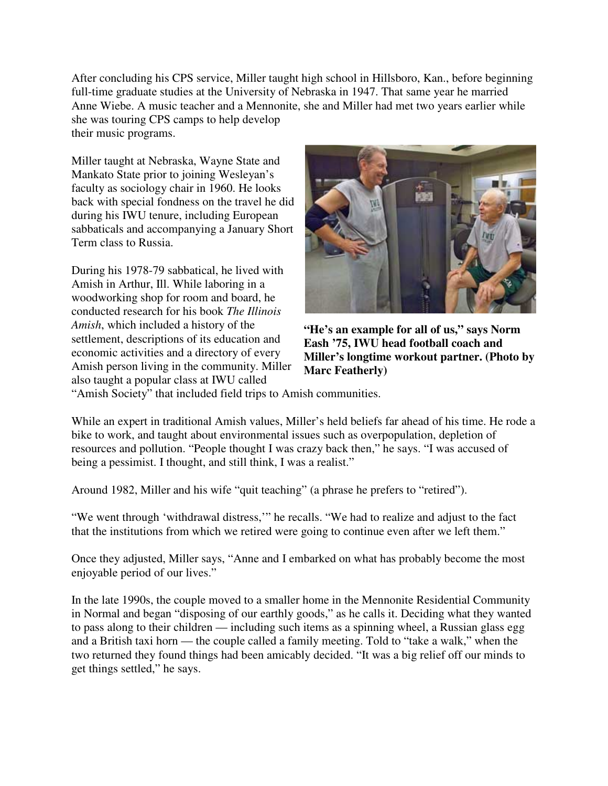After concluding his CPS service, Miller taught high school in Hillsboro, Kan., before beginning full-time graduate studies at the University of Nebraska in 1947. That same year he married Anne Wiebe. A music teacher and a Mennonite, she and Miller had met two years earlier while she was touring CPS camps to help develop their music programs.

Miller taught at Nebraska, Wayne State and Mankato State prior to joining Wesleyan's faculty as sociology chair in 1960. He looks back with special fondness on the travel he did during his IWU tenure, including European sabbaticals and accompanying a January Short Term class to Russia.

During his 1978-79 sabbatical, he lived with Amish in Arthur, Ill. While laboring in a woodworking shop for room and board, he conducted research for his book *The Illinois Amish*, which included a history of the settlement, descriptions of its education and economic activities and a directory of every Amish person living in the community. Miller also taught a popular class at IWU called



**"He's an example for all of us," says Norm Eash '75, IWU head football coach and Miller's longtime workout partner. (Photo by Marc Featherly)**

"Amish Society" that included field trips to Amish communities.

While an expert in traditional Amish values, Miller's held beliefs far ahead of his time. He rode a bike to work, and taught about environmental issues such as overpopulation, depletion of resources and pollution. "People thought I was crazy back then," he says. "I was accused of being a pessimist. I thought, and still think, I was a realist."

Around 1982, Miller and his wife "quit teaching" (a phrase he prefers to "retired").

"We went through 'withdrawal distress,'" he recalls. "We had to realize and adjust to the fact that the institutions from which we retired were going to continue even after we left them."

Once they adjusted, Miller says, "Anne and I embarked on what has probably become the most enjoyable period of our lives."

In the late 1990s, the couple moved to a smaller home in the Mennonite Residential Community in Normal and began "disposing of our earthly goods," as he calls it. Deciding what they wanted to pass along to their children — including such items as a spinning wheel, a Russian glass egg and a British taxi horn — the couple called a family meeting. Told to "take a walk," when the two returned they found things had been amicably decided. "It was a big relief off our minds to get things settled," he says.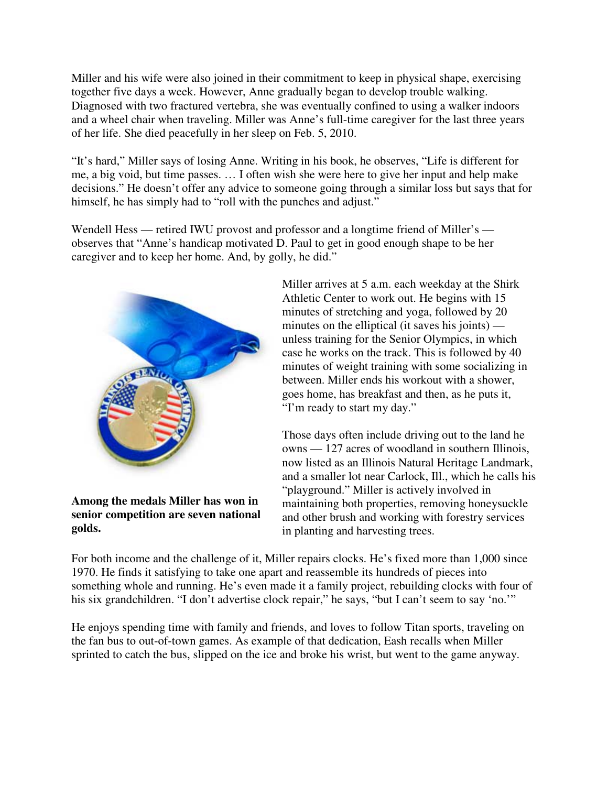Miller and his wife were also joined in their commitment to keep in physical shape, exercising together five days a week. However, Anne gradually began to develop trouble walking. Diagnosed with two fractured vertebra, she was eventually confined to using a walker indoors and a wheel chair when traveling. Miller was Anne's full-time caregiver for the last three years of her life. She died peacefully in her sleep on Feb. 5, 2010.

"It's hard," Miller says of losing Anne. Writing in his book, he observes, "Life is different for me, a big void, but time passes. … I often wish she were here to give her input and help make decisions." He doesn't offer any advice to someone going through a similar loss but says that for himself, he has simply had to "roll with the punches and adjust."

Wendell Hess — retired IWU provost and professor and a longtime friend of Miller's observes that "Anne's handicap motivated D. Paul to get in good enough shape to be her caregiver and to keep her home. And, by golly, he did."



**Among the medals Miller has won in senior competition are seven national golds.**

Miller arrives at 5 a.m. each weekday at the Shirk Athletic Center to work out. He begins with 15 minutes of stretching and yoga, followed by 20 minutes on the elliptical (it saves his joints) unless training for the Senior Olympics, in which case he works on the track. This is followed by 40 minutes of weight training with some socializing in between. Miller ends his workout with a shower, goes home, has breakfast and then, as he puts it, "I'm ready to start my day."

Those days often include driving out to the land he owns — 127 acres of woodland in southern Illinois, now listed as an Illinois Natural Heritage Landmark, and a smaller lot near Carlock, Ill., which he calls his "playground." Miller is actively involved in maintaining both properties, removing honeysuckle and other brush and working with forestry services in planting and harvesting trees.

For both income and the challenge of it, Miller repairs clocks. He's fixed more than 1,000 since 1970. He finds it satisfying to take one apart and reassemble its hundreds of pieces into something whole and running. He's even made it a family project, rebuilding clocks with four of his six grandchildren. "I don't advertise clock repair," he says, "but I can't seem to say 'no.'"

He enjoys spending time with family and friends, and loves to follow Titan sports, traveling on the fan bus to out-of-town games. As example of that dedication, Eash recalls when Miller sprinted to catch the bus, slipped on the ice and broke his wrist, but went to the game anyway.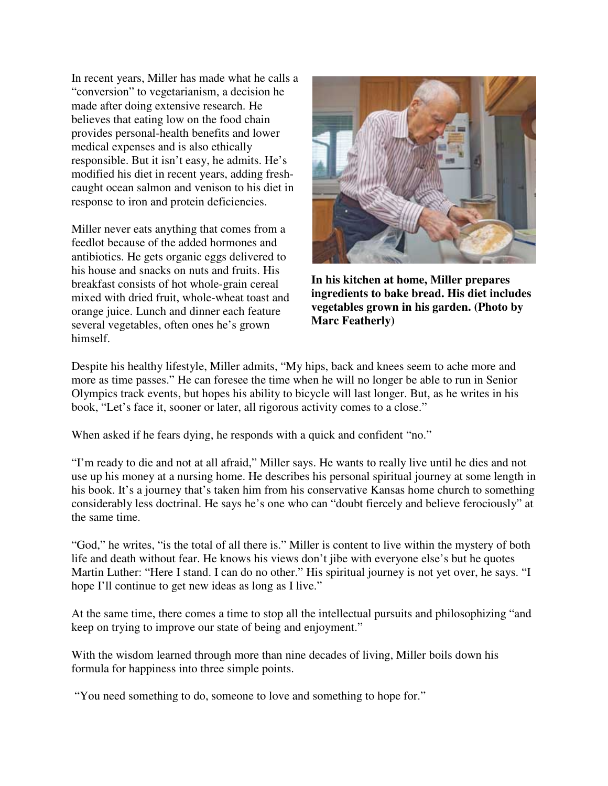In recent years, Miller has made what he calls a "conversion" to vegetarianism, a decision he made after doing extensive research. He believes that eating low on the food chain provides personal-health benefits and lower medical expenses and is also ethically responsible. But it isn't easy, he admits. He's modified his diet in recent years, adding freshcaught ocean salmon and venison to his diet in response to iron and protein deficiencies.

Miller never eats anything that comes from a feedlot because of the added hormones and antibiotics. He gets organic eggs delivered to his house and snacks on nuts and fruits. His breakfast consists of hot whole-grain cereal mixed with dried fruit, whole-wheat toast and orange juice. Lunch and dinner each feature several vegetables, often ones he's grown himself.



**In his kitchen at home, Miller prepares ingredients to bake bread. His diet includes vegetables grown in his garden. (Photo by Marc Featherly)**

Despite his healthy lifestyle, Miller admits, "My hips, back and knees seem to ache more and more as time passes." He can foresee the time when he will no longer be able to run in Senior Olympics track events, but hopes his ability to bicycle will last longer. But, as he writes in his book, "Let's face it, sooner or later, all rigorous activity comes to a close."

When asked if he fears dying, he responds with a quick and confident "no."

"I'm ready to die and not at all afraid," Miller says. He wants to really live until he dies and not use up his money at a nursing home. He describes his personal spiritual journey at some length in his book. It's a journey that's taken him from his conservative Kansas home church to something considerably less doctrinal. He says he's one who can "doubt fiercely and believe ferociously" at the same time.

"God," he writes, "is the total of all there is." Miller is content to live within the mystery of both life and death without fear. He knows his views don't jibe with everyone else's but he quotes Martin Luther: "Here I stand. I can do no other." His spiritual journey is not yet over, he says. "I hope I'll continue to get new ideas as long as I live."

At the same time, there comes a time to stop all the intellectual pursuits and philosophizing "and keep on trying to improve our state of being and enjoyment."

With the wisdom learned through more than nine decades of living, Miller boils down his formula for happiness into three simple points.

"You need something to do, someone to love and something to hope for."